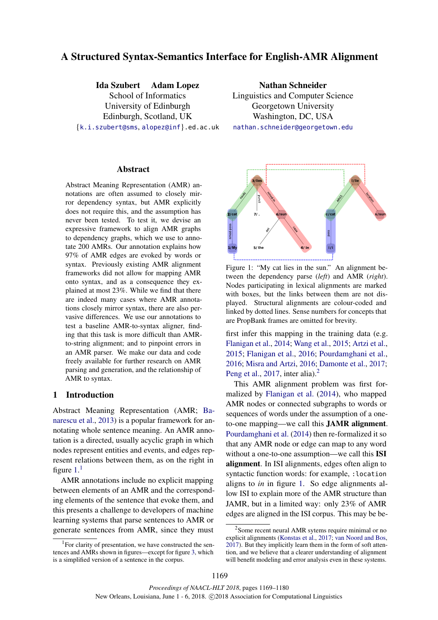# A Structured Syntax-Semantics Interface for English-AMR Alignment

Ida Szubert Adam Lopez

School of Informatics University of Edinburgh Edinburgh, Scotland, UK {k.i.szubert@sms, alopez@inf}.ed.ac.uk

Abstract

Abstract Meaning Representation (AMR) annotations are often assumed to closely mirror dependency syntax, but AMR explicitly does not require this, and the assumption has never been tested. To test it, we devise an expressive framework to align AMR graphs to dependency graphs, which we use to annotate 200 AMRs. Our annotation explains how 97% of AMR edges are evoked by words or syntax. Previously existing AMR alignment frameworks did not allow for mapping AMR onto syntax, and as a consequence they explained at most 23%. While we find that there are indeed many cases where AMR annotations closely mirror syntax, there are also pervasive differences. We use our annotations to test a baseline AMR-to-syntax aligner, finding that this task is more difficult than AMRto-string alignment; and to pinpoint errors in an AMR parser. We make our data and code freely available for further research on AMR parsing and generation, and the relationship of AMR to syntax.

## 1 Introduction

Abstract Meaning Representation (AMR; Banarescu et al., 2013) is a popular framework for annotating whole sentence meaning. An AMR annotation is a directed, usually acyclic graph in which nodes represent entities and events, and edges represent relations between them, as on the right in figure  $1<sup>1</sup>$ 

AMR annotations include no explicit mapping between elements of an AMR and the corresponding elements of the sentence that evoke them, and this presents a challenge to developers of machine learning systems that parse sentences to AMR or generate sentences from AMR, since they must

Nathan Schneider Linguistics and Computer Science Georgetown University Washington, DC, USA nathan.schneider@georgetown.edu



Figure 1: "My cat lies in the sun." An alignment between the dependency parse (*left*) and AMR (*right*). Nodes participating in lexical alignments are marked with boxes, but the links between them are not displayed. Structural alignments are colour-coded and linked by dotted lines. Sense numbers for concepts that are PropBank frames are omitted for brevity.

first infer this mapping in the training data (e.g. Flanigan et al., 2014; Wang et al., 2015; Artzi et al., 2015; Flanigan et al., 2016; Pourdamghani et al., 2016; Misra and Artzi, 2016; Damonte et al., 2017; Peng et al., 2017, inter alia). $<sup>2</sup>$ </sup>

This AMR alignment problem was first formalized by Flanigan et al. (2014), who mapped AMR nodes or connected subgraphs to words or sequences of words under the assumption of a oneto-one mapping—we call this JAMR alignment. Pourdamghani et al. (2014) then re-formalized it so that any AMR node or edge can map to any word without a one-to-one assumption—we call this ISI alignment. In ISI alignments, edges often align to syntactic function words: for example, :location aligns to *in* in figure 1. So edge alignments allow ISI to explain more of the AMR structure than JAMR, but in a limited way: only 23% of AMR edges are aligned in the ISI corpus. This may be be-

<sup>&</sup>lt;sup>1</sup>For clarity of presentation, we have constructed the sentences and AMRs shown in figures—except for figure 3, which is a simplified version of a sentence in the corpus.

<sup>&</sup>lt;sup>2</sup> Some recent neural AMR sytems require minimal or no explicit alignments (Konstas et al., 2017; van Noord and Bos, 2017). But they implicitly learn them in the form of soft attention, and we believe that a clearer understanding of alignment will benefit modeling and error analysis even in these systems.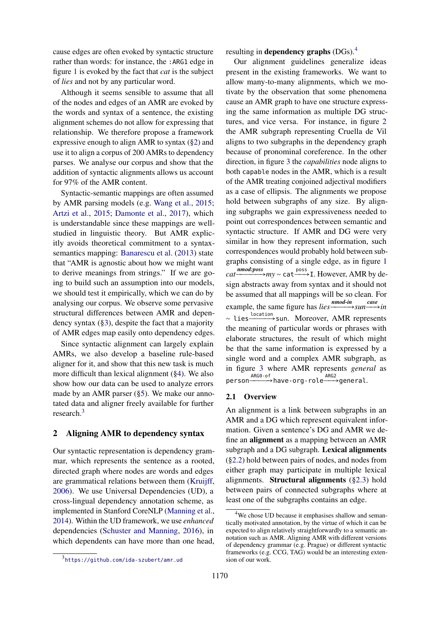cause edges are often evoked by syntactic structure rather than words: for instance, the :ARG1 edge in figure 1 is evoked by the fact that *cat* is the subject of *lies* and not by any particular word.

Although it seems sensible to assume that all of the nodes and edges of an AMR are evoked by the words and syntax of a sentence, the existing alignment schemes do not allow for expressing that relationship. We therefore propose a framework expressive enough to align AMR to syntax (§2) and use it to align a corpus of 200 AMRs to dependency parses. We analyse our corpus and show that the addition of syntactic alignments allows us account for 97% of the AMR content.

Syntactic-semantic mappings are often assumed by AMR parsing models (e.g. Wang et al., 2015; Artzi et al., 2015; Damonte et al., 2017), which is understandable since these mappings are wellstudied in linguistic theory. But AMR explicitly avoids theoretical commitment to a syntaxsemantics mapping: Banarescu et al. (2013) state that "AMR is agnostic about how we might want to derive meanings from strings." If we are going to build such an assumption into our models, we should test it empirically, which we can do by analysing our corpus. We observe some pervasive structural differences between AMR and dependency syntax (§3), despite the fact that a majority of AMR edges map easily onto dependency edges.

Since syntactic alignment can largely explain AMRs, we also develop a baseline rule-based aligner for it, and show that this new task is much more difficult than lexical alignment (§4). We also show how our data can be used to analyze errors made by an AMR parser (§5). We make our annotated data and aligner freely available for further research.<sup>3</sup>

## 2 Aligning AMR to dependency syntax

Our syntactic representation is dependency grammar, which represents the sentence as a rooted, directed graph where nodes are words and edges are grammatical relations between them (Kruijff, 2006). We use Universal Dependencies (UD), a cross-lingual dependency annotation scheme, as implemented in Stanford CoreNLP (Manning et al., 2014). Within the UD framework, we use *enhanced* dependencies (Schuster and Manning, 2016), in which dependents can have more than one head, resulting in dependency graphs  $(DGs)$ .<sup>4</sup>

Our alignment guidelines generalize ideas present in the existing frameworks. We want to allow many-to-many alignments, which we motivate by the observation that some phenomena cause an AMR graph to have one structure expressing the same information as multiple DG structures, and vice versa. For instance, in figure 2 the AMR subgraph representing Cruella de Vil aligns to two subgraphs in the dependency graph because of pronominal coreference. In the other direction, in figure 3 the *capabilities* node aligns to both capable nodes in the AMR, which is a result of the AMR treating conjoined adjectival modifiers as a case of ellipsis. The alignments we propose hold between subgraphs of any size. By aligning subgraphs we gain expressiveness needed to point out correspondences between semantic and syntactic structure. If AMR and DG were very similar in how they represent information, such correspondences would probably hold between subgraphs consisting of a single edge, as in figure 1 *cat nmod:poss nmod:poss nmod:poss nmod:poss***<b>***nmod:poss nmod:poss nmod:poss nmod:poss***<b>***nmod:poss nmod:poss nmod:poss nmod:poss nmod:poss*sign abstracts away from syntax and it should not be assumed that all mappings will be so clean. For example, the same figure has  $lies \frac{nmod-in}{sun} sun \xrightarrow{case} in$ ∼ lies <sup>location</sup> sun. Moreover, AMR represents the meaning of particular words or phrases with elaborate structures, the result of which might be that the same information is expressed by a single word and a complex AMR subgraph, as in figure 3 where AMR represents *general* as person-®ARG0-of<br>
person-®→have-org-role→sgeneral.

#### 2.1 Overview

An alignment is a link between subgraphs in an AMR and a DG which represent equivalent information. Given a sentence's DG and AMR we define an alignment as a mapping between an AMR subgraph and a DG subgraph. Lexical alignments (§2.2) hold between pairs of nodes, and nodes from either graph may participate in multiple lexical alignments. Structural alignments (§2.3) hold between pairs of connected subgraphs where at least one of the subgraphs contains an edge.

<sup>&</sup>lt;sup>4</sup>We chose UD because it emphasises shallow and semantically motivated annotation, by the virtue of which it can be expected to align relatively straightforwardly to a semantic annotation such as AMR. Aligning AMR with different versions of dependency grammar (e.g. Prague) or different syntactic frameworks (e.g. CCG, TAG) would be an interesting extension of our work.

<sup>3</sup> https://github.com/ida-szubert/amr\_ud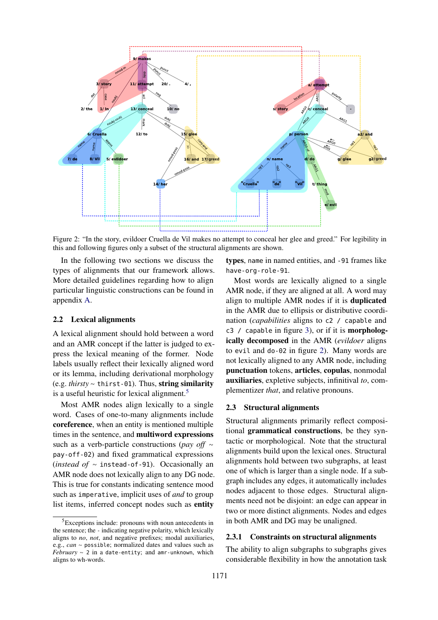

Figure 2: "In the story, evildoer Cruella de Vil makes no attempt to conceal her glee and greed." For legibility in this and following figures only a subset of the structural alignments are shown.

In the following two sections we discuss the types of alignments that our framework allows. More detailed guidelines regarding how to align particular linguistic constructions can be found in appendix A.

## 2.2 Lexical alignments

A lexical alignment should hold between a word and an AMR concept if the latter is judged to express the lexical meaning of the former. Node labels usually reflect their lexically aligned word or its lemma, including derivational morphology (e.g. *thirsty* ∼ thirst-01). Thus, string similarity is a useful heuristic for lexical alignment. $5$ 

Most AMR nodes align lexically to a single word. Cases of one-to-many alignments include coreference, when an entity is mentioned multiple times in the sentence, and multiword expressions such as a verb-particle constructions (*pay off* ∼ pay-off-02) and fixed grammatical expressions (*instead of* ∼ instead-of-91). Occasionally an AMR node does not lexically align to any DG node. This is true for constants indicating sentence mood such as imperative, implicit uses of *and* to group list items, inferred concept nodes such as entity

types, name in named entities, and -91 frames like have-org-role-91.

Most words are lexically aligned to a single AMR node, if they are aligned at all. A word may align to multiple AMR nodes if it is duplicated in the AMR due to ellipsis or distributive coordination (*capabilities* aligns to c2 / capable and  $c3$  / capable in figure 3), or if it is **morpholog**ically decomposed in the AMR (*evildoer* aligns to evil and do-02 in figure 2). Many words are not lexically aligned to any AMR node, including punctuation tokens, articles, copulas, nonmodal auxiliaries, expletive subjects, infinitival *to*, complementizer *that*, and relative pronouns.

## 2.3 Structural alignments

Structural alignments primarily reflect compositional grammatical constructions, be they syntactic or morphological. Note that the structural alignments build upon the lexical ones. Structural alignments hold between two subgraphs, at least one of which is larger than a single node. If a subgraph includes any edges, it automatically includes nodes adjacent to those edges. Structural alignments need not be disjoint: an edge can appear in two or more distinct alignments. Nodes and edges in both AMR and DG may be unaligned.

## 2.3.1 Constraints on structural alignments

The ability to align subgraphs to subgraphs gives considerable flexibility in how the annotation task

<sup>&</sup>lt;sup>5</sup>Exceptions include: pronouns with noun antecedents in the sentence; the - indicating negative polarity, which lexically aligns to *no*, *not*, and negative prefixes; modal auxiliaries, e.g., *can* ∼ possible; normalized dates and values such as *February* ∼ <sup>2</sup> in a date-entity; and amr-unknown, which aligns to wh-words.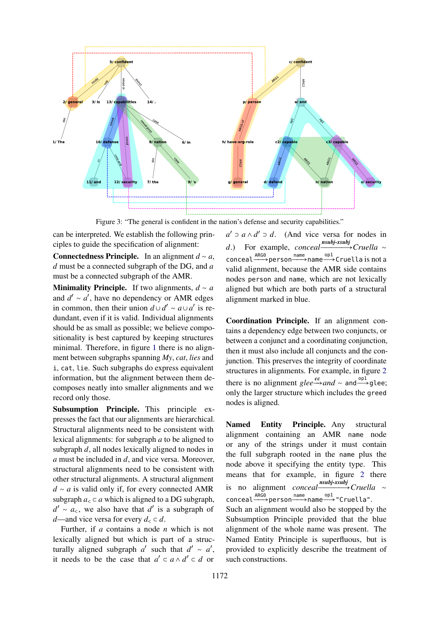

Figure 3: "The general is confident in the nation's defense and security capabilities."

can be interpreted. We establish the following principles to guide the specification of alignment:

Connectedness Principle. In an alignment *d* ∼ *a*, *d* must be a connected subgraph of the DG, and *a* must be a connected subgraph of the AMR.

**Minimality Principle.** If two alignments,  $d \sim a$ and  $d' \sim a'$ , have no dependency or AMR edges in common, then their union  $d \cup d' \sim a \cup a'$  is redundant, even if it is valid. Individual alignments should be as small as possible; we believe compositionality is best captured by keeping structures minimal. Therefore, in figure 1 there is no alignment between subgraphs spanning *My*, *cat*, *lies* and i, cat, lie. Such subgraphs do express equivalent information, but the alignment between them decomposes neatly into smaller alignments and we record only those.

Subsumption Principle. This principle expresses the fact that our alignments are hierarchical. Structural alignments need to be consistent with lexical alignments: for subgraph *a* to be aligned to subgraph *d*, all nodes lexically aligned to nodes in *a* must be included in *d*, and vice versa. Moreover, structural alignments need to be consistent with other structural alignments. A structural alignment *d* ∼ *a* is valid only if, for every connected AMR subgraph  $a_{\leq} \subset a$  which is aligned to a DG subgraph,  $d' \sim a_{\leq}$ , we also have that  $d'$  is a subgraph of *d*—and vice versa for every  $d_{\leq} \subset d$ .

Further, if *a* contains a node *n* which is not lexically aligned but which is part of a structurally aligned subgraph  $a'$  such that  $d' \sim a'$ , it needs to be the case that  $a' \subset a \wedge d' \subset d$  or

*a*<sup> $'$ </sup> ⊃ *a* ∧ *d*<sup> $'$ </sup> ⊃ *d*. (And vice versa for nodes in *d*.) For example, *conceal* <u>nubj-xsubj</u> Cruella ∼ conceal <sup>ARGO</sup> person <sup>name</sup> name <sup>op1</sup> cruella is not a valid alignment, because the AMR side contains nodes person and name, which are not lexically aligned but which are both parts of a structural alignment marked in blue.

Coordination Principle. If an alignment contains a dependency edge between two conjuncts, or between a conjunct and a coordinating conjunction, then it must also include all conjuncts and the conjunction. This preserves the integrity of coordinate structures in alignments. For example, in figure 2 there is no alignment  $glee \xrightarrow{cc} and \sim \text{and} \xrightarrow{op1} \text{glee};$ only the larger structure which includes the greed nodes is aligned.

Named Entity Principle. Any structural alignment containing an AMR name node or any of the strings under it must contain the full subgraph rooted in the name plus the node above it specifying the entity type. This means that for example, in figure 2 there is no alignment *conceal nsubj-xsubj Cruella* ∼ conceal ARGO<br>
⇒person → name → "Cruella".

Such an alignment would also be stopped by the Subsumption Principle provided that the blue alignment of the whole name was present. The Named Entity Principle is superfluous, but is provided to explicitly describe the treatment of such constructions.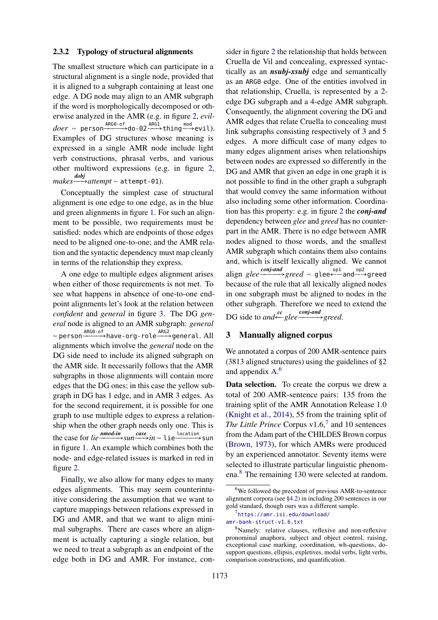## 2.3.2 Typology of structural alignments

The smallest structure which can participate in a structural alignment is a single node, provided that it is aligned to a subgraph containing at least one edge. A DG node may align to an AMR subgraph if the word is morphologically decomposed or otherwise analyzed in the AMR (e.g. in figure 2, *evildoer* ∼ person<sup>\_ARG0-of</sup>do-02<sup>\_ARG1</sup>>thing<sup>\_\_→</sup>evil). Examples of DG structures whose meaning is expressed in a single AMR node include light verb constructions, phrasal verbs, and various other multiword expressions (e.g. in figure 2, *makes dobj* ÐÐ→*attempt* ∼ attempt-01).

Conceptually the simplest case of structural alignment is one edge to one edge, as in the blue and green alignments in figure 1. For such an alignment to be possible, two requirements must be satisfied: nodes which are endpoints of those edges need to be aligned one-to-one; and the AMR relation and the syntactic dependency must map cleanly in terms of the relationship they express.

A one edge to multiple edges alignment arises when either of those requirements is not met. To see what happens in absence of one-to-one endpoint alignments let's look at the relation between *confident* and *general* in figure 3. The DG *general* node is aligned to an AMR subgraph: *general* ∼ person $\xrightarrow{\text{ARG0-of}}$ have-org-role $\xrightarrow{\text{ARG2}}$ general. All alignments which involve the *general* node on the DG side need to include its aligned subgraph on the AMR side. It necessarily follows that the AMR subgraphs in those alignments will contain more edges that the DG ones; in this case the yellow subgraph in DG has 1 edge, and in AMR 3 edges. As for the second requirement, it is possible for one graph to use multiple edges to express a relationship when the other graph needs only one. This is the case for *lie*  $\frac{nmod-in}{s}$ sun  $\frac{case}{s}$ *in* ∼ lie  $\frac{location}{s}$ sun in figure 1. An example which combines both the node- and edge-related issues is marked in red in figure 2.

Finally, we also allow for many edges to many edges alignments. This may seem counterintuitive considering the assumption that we want to capture mappings between relations expressed in DG and AMR, and that we want to align minimal subgraphs. There are cases where an alignment is actually capturing a single relation, but we need to treat a subgraph as an endpoint of the edge both in DG and AMR. For instance, consider in figure 2 the relationship that holds between Cruella de Vil and concealing, expressed syntactically as an *nsubj-xsubj* edge and semantically as an ARG0 edge. One of the entities involved in that relationship, Cruella, is represented by a 2 edge DG subgraph and a 4-edge AMR subgraph. Consequently, the alignment covering the DG and AMR edges that relate Cruella to concealing must link subgraphs consisting respectively of 3 and 5 edges. A more difficult case of many edges to many edges alignment arises when relationships between nodes are expressed so differently in the DG and AMR that given an edge in one graph it is not possible to find in the other graph a subgraph that would convey the same information without also including some other information. Coordination has this property: e.g. in figure 2 the *conj-and* dependency between *glee* and *greed* has no counterpart in the AMR. There is no edge between AMR nodes aligned to those words, and the smallest AMR subgraph which contains them also contains and, which is itself lexically aligned. We cannot align *glee* conjand<br>
⇒greed ∼ glee ← and → greed because of the rule that all lexically aligned nodes in one subgraph must be aligned to nodes in the other subgraph. Therefore we need to extend the DG side to *and* ← *glee* <sup>conj-and</sup> *greed*.

## 3 Manually aligned corpus

We annotated a corpus of 200 AMR-sentence pairs (3813 aligned structures) using the guidelines of §2 and appendix A. 6

Data selection. To create the corpus we drew a total of 200 AMR-sentence pairs: 135 from the training split of the AMR Annotation Release 1.0 (Knight et al., 2014), 55 from the training split of The Little Prince Corpus  $v1.6$ <sup>7</sup> and 10 sentences from the Adam part of the CHILDES Brown corpus (Brown, 1973), for which AMRs were produced by an experienced annotator. Seventy items were selected to illustrate particular linguistic phenomena.<sup>8</sup> The remaining 130 were selected at random.

<sup>6</sup>We followed the precedent of previous AMR-to-sentence alignment corpora (see §4.2) in including 200 sentences in our gold standard, though ours was a different sample.

<sup>7</sup> https://amr.isi.edu/download/

amr-bank-struct-v1.6.txt

<sup>8</sup>Namely: relative clauses, reflexive and non-reflexive pronominal anaphora, subject and object control, raising, exceptional case marking, coordination, wh-questions, dosupport questions, ellipsis, expletives, modal verbs, light verbs, comparison constructions, and quantification.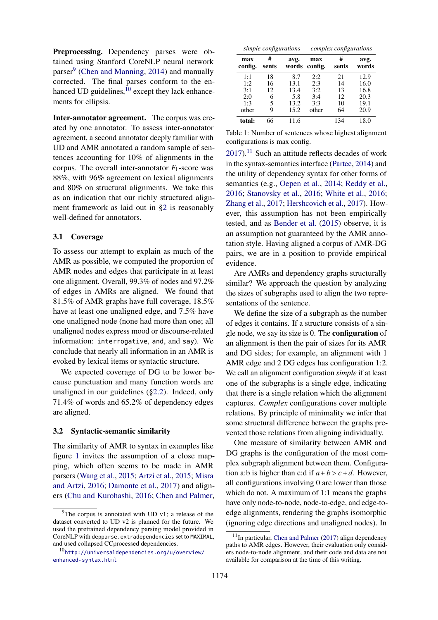Preprocessing. Dependency parses were obtained using Stanford CoreNLP neural network parser<sup>9</sup> (Chen and Manning, 2014) and manually corrected. The final parses conform to the en $h$ anced UD guidelines, $\overline{10}$  except they lack enhancements for ellipsis.

Inter-annotator agreement. The corpus was created by one annotator. To assess inter-annotator agreement, a second annotator deeply familiar with UD and AMR annotated a random sample of sentences accounting for 10% of alignments in the corpus. The overall inter-annotator  $F_1$ -score was 88%, with 96% agreement on lexical alignments and 80% on structural alignments. We take this as an indication that our richly structured alignment framework as laid out in §2 is reasonably well-defined for annotators.

#### 3.1 Coverage

To assess our attempt to explain as much of the AMR as possible, we computed the proportion of AMR nodes and edges that participate in at least one alignment. Overall, 99.3% of nodes and 97.2% of edges in AMRs are aligned. We found that 81.5% of AMR graphs have full coverage, 18.5% have at least one unaligned edge, and 7.5% have one unaligned node (none had more than one; all unaligned nodes express mood or discourse-related information: interrogative, and, and say). We conclude that nearly all information in an AMR is evoked by lexical items or syntactic structure.

We expected coverage of DG to be lower because punctuation and many function words are unaligned in our guidelines (§2.2). Indeed, only 71.4% of words and 65.2% of dependency edges are aligned.

### 3.2 Syntactic-semantic similarity

The similarity of AMR to syntax in examples like figure 1 invites the assumption of a close mapping, which often seems to be made in AMR parsers (Wang et al., 2015; Artzi et al., 2015; Misra and Artzi, 2016; Damonte et al., 2017) and aligners (Chu and Kurohashi, 2016; Chen and Palmer,

| simple configurations |            |               | complex configurations |            |               |  |  |
|-----------------------|------------|---------------|------------------------|------------|---------------|--|--|
| max<br>config.        | #<br>sents | avg.<br>words | max<br>config.         | #<br>sents | avg.<br>words |  |  |
| 1:1                   | 18         | 8.7           | 2:2                    | 21         | 12.9          |  |  |
| 1:2                   | 16         | 13.1          | 2:3                    | 14         | 16.0          |  |  |
| 3:1                   | 12         | 13.4          | 3:2                    | 13         | 16.8          |  |  |
| 2:0                   | 6          | 5.8           | 3:4                    | 12         | 20.3          |  |  |
| 1:3                   | 5          | 13.2          | 3:3                    | 10         | 19.1          |  |  |
| other                 | g          | 15.2          | other                  | 64         | 20.9          |  |  |
| total:                | 66         | 11.6          |                        | 134        | 18.0          |  |  |

Table 1: Number of sentences whose highest alignment configurations is max config.

 $2017$ ).<sup>11</sup> Such an attitude reflects decades of work in the syntax-semantics interface (Partee, 2014) and the utility of dependency syntax for other forms of semantics (e.g., Oepen et al., 2014; Reddy et al., 2016; Stanovsky et al., 2016; White et al., 2016; Zhang et al., 2017; Hershcovich et al., 2017). However, this assumption has not been empirically tested, and as Bender et al. (2015) observe, it is an assumption not guaranteed by the AMR annotation style. Having aligned a corpus of AMR-DG pairs, we are in a position to provide empirical evidence.

Are AMRs and dependency graphs structurally similar? We approach the question by analyzing the sizes of subgraphs used to align the two representations of the sentence.

We define the size of a subgraph as the number of edges it contains. If a structure consists of a single node, we say its size is 0. The configuration of an alignment is then the pair of sizes for its AMR and DG sides; for example, an alignment with 1 AMR edge and 2 DG edges has configuration 1:2. We call an alignment configuration *simple* if at least one of the subgraphs is a single edge, indicating that there is a single relation which the alignment captures. *Complex* configurations cover multiple relations. By principle of minimality we infer that some structural difference between the graphs prevented those relations from aligning individually.

One measure of similarity between AMR and DG graphs is the configuration of the most complex subgraph alignment between them. Configuration a:b is higher than c:d if  $a + b > c + d$ . However, all configurations involving 0 are lower than those which do not. A maximum of 1:1 means the graphs have only node-to-node, node-to-edge, and edge-toedge alignments, rendering the graphs isomorphic (ignoring edge directions and unaligned nodes). In

 $9^9$ The corpus is annotated with UD v1; a release of the dataset converted to UD v2 is planned for the future. We used the pretrained dependency parsing model provided in CoreNLP with depparse.extradependencies set to MAXIMAL, and used collapsed CCprocessed dependencies.

<sup>10</sup>http://universaldependencies.org/u/overview/ enhanced-syntax.html

 $11$ In particular, Chen and Palmer (2017) align dependency paths to AMR edges. However, their evaluation only considers node-to-node alignment, and their code and data are not available for comparison at the time of this writing.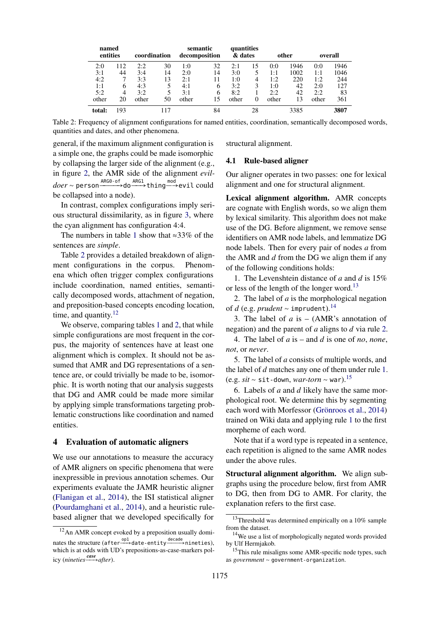| named<br>entities |     | coordination |     | semantic<br>decomposition |    | quantities<br>& dates |          | other |      | overall |      |
|-------------------|-----|--------------|-----|---------------------------|----|-----------------------|----------|-------|------|---------|------|
| 2:0               | 112 | 2:2          | 30  | 1:0                       | 32 | 2:1                   | 15       | 0:0   | 1946 | 0:0     | 1946 |
| 3:1               | 44  | 3:4          | 14  | 2:0                       | 14 | 3:0                   |          | 1:1   | 1002 | 1:1     | 1046 |
| 4:2               |     | 3:3          | 13  | 2:1                       | 11 | 1:0                   | 4        | 1:2   | 220  | 1:2     | 244  |
| 1:1               | 6   | 4:3          | 5   | 4:1                       | 6  | 3:2                   | 3        | 1:0   | 42   | 2:0     | 127  |
| 5:2               | 4   | 3:2          | 5   | 3:1                       | 6  | 8:2                   |          | 2:2   | 42   | 2:2     | 83   |
| other             | 20  | other        | 50  | other                     | 15 | other                 | $\Omega$ | other | 13   | other   | 361  |
| total:            | 193 |              | 117 |                           | 84 |                       | 28       |       | 3385 |         | 3807 |

Table 2: Frequency of alignment configurations for named entities, coordination, semantically decomposed words, quantities and dates, and other phenomena.

general, if the maximum alignment configuration is a simple one, the graphs could be made isomorphic by collapsing the larger side of the alignment (e.g., in figure 2, the AMR side of the alignment *evildoer* ∼ person <sup>ARG0-of</sup>→do <sup>ARG1</sup>→thing ™∞d evil could<br>be collapsed into a node).

In contrast, complex configurations imply serious structural dissimilarity, as in figure 3, where the cyan alignment has configuration 4:4.

The numbers in table 1 show that ≈33% of the sentences are *simple*.

Table 2 provides a detailed breakdown of alignment configurations in the corpus. Phenomena which often trigger complex configurations include coordination, named entities, semantically decomposed words, attachment of negation, and preposition-based concepts encoding location, time, and quantity. $12$ 

We observe, comparing tables 1 and 2, that while simple configurations are most frequent in the corpus, the majority of sentences have at least one alignment which is complex. It should not be assumed that AMR and DG representations of a sentence are, or could trivially be made to be, isomorphic. It is worth noting that our analysis suggests that DG and AMR could be made more similar by applying simple transformations targeting problematic constructions like coordination and named entities.

#### 4 Evaluation of automatic aligners

We use our annotations to measure the accuracy of AMR aligners on specific phenomena that were inexpressible in previous annotation schemes. Our experiments evaluate the JAMR heuristic aligner (Flanigan et al., 2014), the ISI statistical aligner (Pourdamghani et al., 2014), and a heuristic rulebased aligner that we developed specifically for structural alignment.

#### 4.1 Rule-based aligner

Our aligner operates in two passes: one for lexical alignment and one for structural alignment.

Lexical alignment algorithm. AMR concepts are cognate with English words, so we align them by lexical similarity. This algorithm does not make use of the DG. Before alignment, we remove sense identifiers on AMR node labels, and lemmatize DG node labels. Then for every pair of nodes *a* from the AMR and *d* from the DG we align them if any of the following conditions holds:

1. The Levenshtein distance of *a* and *d* is 15% or less of the length of the longer word.<sup>13</sup>

2. The label of *a* is the morphological negation of *<sup>d</sup>* (e.g. *prudent* <sup>∼</sup> imprudent).<sup>14</sup>

3. The label of *a* is – (AMR's annotation of negation) and the parent of *a* aligns to *d* via rule 2.

4. The label of *a* is – and *d* is one of *no*, *none*, *not*, or *never*.

5. The label of *a* consists of multiple words, and the label of *d* matches any one of them under rule 1. (e.g. *sit* <sup>∼</sup> sit-down, *war-torn* <sup>∼</sup> war).<sup>15</sup>

6. Labels of *a* and *d* likely have the same morphological root. We determine this by segmenting each word with Morfessor (Grönroos et al., 2014) trained on Wiki data and applying rule 1 to the first morpheme of each word.

Note that if a word type is repeated in a sentence, each repetition is aligned to the same AMR nodes under the above rules.

Structural alignment algorithm. We align subgraphs using the procedure below, first from AMR to DG, then from DG to AMR. For clarity, the explanation refers to the first case.

<sup>12</sup>An AMR concept evoked by a preposition usually dominates the structure (after  $\xrightarrow{op1}$  date-entity  $\xrightarrow{decade}$  nineties), which is at odds with UD's prepositions-as-case-markers policy (*nineties*  $\xrightarrow{case}$ *after*).

<sup>&</sup>lt;sup>13</sup>Threshold was determined empirically on a 10% sample from the dataset.

<sup>&</sup>lt;sup>14</sup>We use a list of morphologically negated words provided by Ulf Hermjakob.

 $15$ This rule misaligns some AMR-specific node types, such as *government* ∼ government-organization.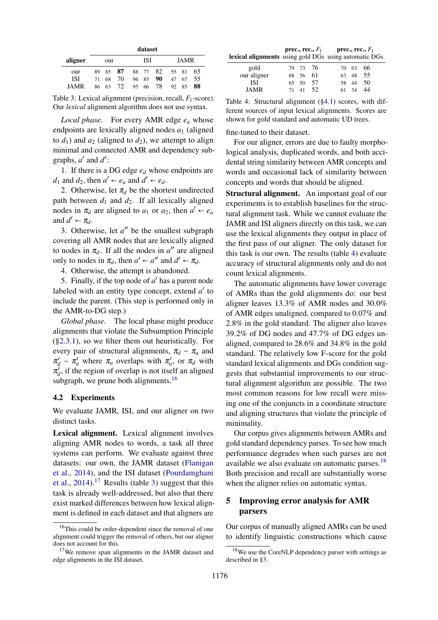|             |    |           |     | dataset |          |     |       |    |
|-------------|----|-----------|-----|---------|----------|-----|-------|----|
| aligner     |    | our       |     | ISI     |          |     | JAMR  |    |
| our         | 89 | 87<br>85. |     |         | 88 77 82 |     | 55 81 | 65 |
| ISI         | 71 | 70<br>68  |     | 96 85   | 90       | 47  | 67    | 55 |
| <b>JAMR</b> | 86 | 72.<br>63 | 95. | 66      | 78       | 92. | 85    | 88 |

Table 3: Lexical alignment (precision, recall, *F*1-score). Our *lexical* alignment algorithm does not use syntax.

*Local phase.* For every AMR edge *e<sup>a</sup>* whose endpoints are lexically aligned nodes  $a_1$  (aligned to  $d_1$ ) and  $a_2$  (aligned to  $d_2$ ), we attempt to align minimal and connected AMR and dependency subgraphs,  $a'$  and  $d'$ :

1. If there is a DG edge *e<sup>d</sup>* whose endpoints are *d*<sub>1</sub> and *d*<sub>2</sub>, then  $a' \leftarrow e_a$  and  $d' \leftarrow e_d$ .

2. Otherwise, let  $\pi_d$  be the shortest undirected path between  $d_1$  and  $d_2$ . If all lexically aligned nodes in  $\pi_d$  are aligned to  $a_1$  or  $a_2$ , then  $a' \leftarrow e_a$ and  $d' \leftarrow \pi_d$ .

3. Otherwise, let  $a''$  be the smallest subgraph covering all AMR nodes that are lexically aligned to nodes in  $\pi_d$ . If all the nodes in  $a''$  are aligned only to nodes in  $\pi_d$ , then  $a' \leftarrow a''$  and  $d' \leftarrow \pi_d$ .

4. Otherwise, the attempt is abandoned.

5. Finally, if the top node of  $a'$  has a parent node labeled with an entity type concept, extend *a'* to include the parent. (This step is performed only in the AMR-to-DG step.)

*Global phase.* The local phase might produce alignments that violate the Subsumption Principle (§2.3.1), so we filter them out heuristically. For every pair of structural alignments,  $\pi_d \sim \pi_a$  and  $\pi'_d \sim \pi'_d$  where  $\pi_a$  overlaps with  $\pi'_a$ , or  $\pi_d$  with  $\pi'_d$ , if the region of overlap is not itself an aligned subgraph, we prune both alignments.<sup>16</sup>

## 4.2 Experiments

We evaluate JAMR, ISI, and our aligner on two distinct tasks.

Lexical alignment. Lexical alignment involves aligning AMR nodes to words, a task all three systems can perform. We evaluate against three datasets: our own, the JAMR dataset (Flanigan et al., 2014), and the ISI dataset (Pourdamghani et al.,  $2014$ ).<sup>17</sup> Results (table 3) suggest that this task is already well-addressed, but also that there exist marked differences between how lexical alignment is defined in each dataset and that aligners are

prec., rec.,  $F_1$  prec., rec.,  $F_1$ lexical alignments using gold DGs using automatic DGs

| gold        |    |          | 79 73 76 |       | 70 63 66 |
|-------------|----|----------|----------|-------|----------|
| our aligner |    | 68 56 61 |          |       | 63 48 55 |
| ISI         |    |          | 65 50 57 |       | 58 44 50 |
| JAMR        | 71 |          | 41 52    | 61 34 | 44       |

Table 4: Structural alignment (§4.1) scores, with different sources of input lexical alignments. Scores are shown for gold standard and automatic UD trees.

fine-tuned to their dataset.

For our aligner, errors are due to faulty morphological analysis, duplicated words, and both accidental string similarity between AMR concepts and words and occasional lack of similarity between concepts and words that should be aligned.

Structural alignment. An important goal of our experiments is to establish baselines for the structural alignment task. While we cannot evaluate the JAMR and ISI aligners directly on this task, we can use the lexical alignments they output in place of the first pass of our aligner. The only dataset for this task is our own. The results (table 4) evaluate accuracy of structural alignments only and do not count lexical alignments.

The automatic alignments have lower coverage of AMRs than the gold alignments do: our best aligner leaves 13.3% of AMR nodes and 30.0% of AMR edges unaligned, compared to 0.07% and 2.8% in the gold standard. The aligner also leaves 39.2% of DG nodes and 47.7% of DG edges unaligned, compared to 28.6% and 34.8% in the gold standard. The relatively low F-score for the gold standard lexical alignments and DGs condition suggests that substantial improvements to our structural alignment algorithm are possible. The two most common reasons for low recall were missing one of the conjuncts in a coordinate structure and aligning structures that violate the principle of minimality.

Our corpus gives alignments between AMRs and gold standard dependency parses. To see how much performance degrades when such parses are not available we also evaluate on automatic parses.<sup>18</sup> Both precision and recall are substantially worse when the aligner relies on automatic syntax.

## 5 Improving error analysis for AMR parsers

Our corpus of manually aligned AMRs can be used to identify linguistic constructions which cause

<sup>&</sup>lt;sup>16</sup>This could be order-dependent since the removal of one alignment could trigger the removal of others, but our aligner does not account for this.

<sup>&</sup>lt;sup>17</sup>We remove span alignments in the JAMR dataset and edge alignments in the ISI dataset.

<sup>&</sup>lt;sup>18</sup>We use the CoreNLP dependency parser with settings as described in §3.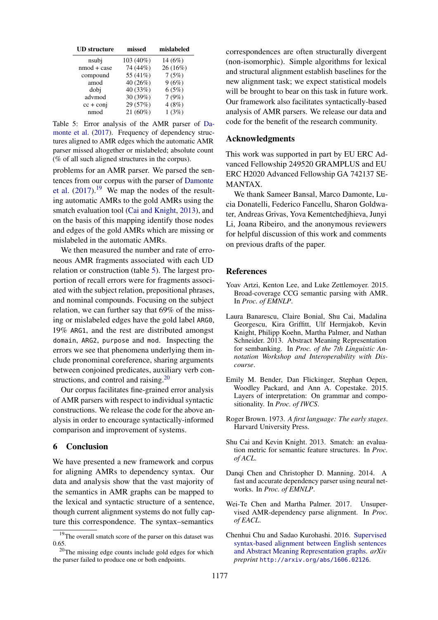| <b>UD</b> structure | missed     | mislabeled |  |  |
|---------------------|------------|------------|--|--|
| nsubj               | 103 (40%)  | 14(6%)     |  |  |
| $nmod + case$       | 74 (44%)   | 26 (16%)   |  |  |
| compound            | 55 (41%)   | 7(5%)      |  |  |
| amod                | 40 (26%)   | 9(6%)      |  |  |
| dobi                | 40 (33%)   | 6(5%)      |  |  |
| advmod              | 30 (39%)   | 7(9%)      |  |  |
| $cc + conj$         | 29 (57%)   | 4(8%)      |  |  |
| nmod                | $21(60\%)$ | 1(3%)      |  |  |

Table 5: Error analysis of the AMR parser of Damonte et al. (2017). Frequency of dependency structures aligned to AMR edges which the automatic AMR parser missed altogether or mislabeled; absolute count (% of all such aligned structures in the corpus).

problems for an AMR parser. We parsed the sentences from our corpus with the parser of Damonte et al.  $(2017).<sup>19</sup>$  We map the nodes of the resulting automatic AMRs to the gold AMRs using the smatch evaluation tool (Cai and Knight, 2013), and on the basis of this mapping identify those nodes and edges of the gold AMRs which are missing or mislabeled in the automatic AMRs.

We then measured the number and rate of erroneous AMR fragments associated with each UD relation or construction (table 5). The largest proportion of recall errors were for fragments associated with the subject relation, prepositional phrases, and nominal compounds. Focusing on the subject relation, we can further say that 69% of the missing or mislabeled edges have the gold label ARG0, 19% ARG1, and the rest are distributed amongst domain, ARG2, purpose and mod. Inspecting the errors we see that phenomena underlying them include pronominal coreference, sharing arguments between conjoined predicates, auxiliary verb constructions, and control and raising.<sup>20</sup>

Our corpus facilitates fine-grained error analysis of AMR parsers with respect to individual syntactic constructions. We release the code for the above analysis in order to encourage syntactically-informed comparison and improvement of systems.

## 6 Conclusion

We have presented a new framework and corpus for aligning AMRs to dependency syntax. Our data and analysis show that the vast majority of the semantics in AMR graphs can be mapped to the lexical and syntactic structure of a sentence, though current alignment systems do not fully capture this correspondence. The syntax–semantics

correspondences are often structurally divergent (non-isomorphic). Simple algorithms for lexical and structural alignment establish baselines for the new alignment task; we expect statistical models will be brought to bear on this task in future work. Our framework also facilitates syntactically-based analysis of AMR parsers. We release our data and code for the benefit of the research community.

## Acknowledgments

This work was supported in part by EU ERC Advanced Fellowship 249520 GRAMPLUS and EU ERC H2020 Advanced Fellowship GA 742137 SE-MANTAX.

We thank Sameer Bansal, Marco Damonte, Lucia Donatelli, Federico Fancellu, Sharon Goldwater, Andreas Grivas, Yova Kementchedjhieva, Junyi Li, Joana Ribeiro, and the anonymous reviewers for helpful discussion of this work and comments on previous drafts of the paper.

## References

- Yoav Artzi, Kenton Lee, and Luke Zettlemoyer. 2015. Broad-coverage CCG semantic parsing with AMR. In *Proc. of EMNLP*.
- Laura Banarescu, Claire Bonial, Shu Cai, Madalina Georgescu, Kira Griffitt, Ulf Hermjakob, Kevin Knight, Philipp Koehn, Martha Palmer, and Nathan Schneider. 2013. Abstract Meaning Representation for sembanking. In *Proc. of the 7th Linguistic Annotation Workshop and Interoperability with Discourse*.
- Emily M. Bender, Dan Flickinger, Stephan Oepen, Woodley Packard, and Ann A. Copestake. 2015. Layers of interpretation: On grammar and compositionality. In *Proc. of IWCS*.
- Roger Brown. 1973. *A first language: The early stages*. Harvard University Press.
- Shu Cai and Kevin Knight. 2013. Smatch: an evaluation metric for semantic feature structures. In *Proc. of ACL*.
- Danqi Chen and Christopher D. Manning. 2014. A fast and accurate dependency parser using neural networks. In *Proc. of EMNLP*.
- Wei-Te Chen and Martha Palmer. 2017. Unsupervised AMR-dependency parse alignment. In *Proc. of EACL*.
- Chenhui Chu and Sadao Kurohashi. 2016. Supervised syntax-based alignment between English sentences and Abstract Meaning Representation graphs. *arXiv preprint* http://arxiv.org/abs/1606.02126.

<sup>&</sup>lt;sup>19</sup>The overall smatch score of the parser on this dataset was 0.65.

 $20$ The missing edge counts include gold edges for which the parser failed to produce one or both endpoints.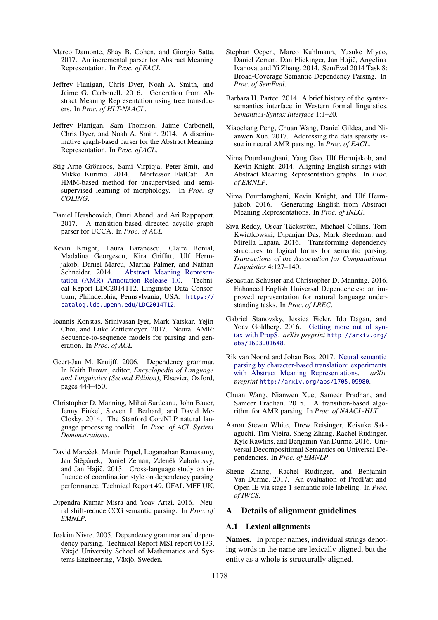- Marco Damonte, Shay B. Cohen, and Giorgio Satta. 2017. An incremental parser for Abstract Meaning Representation. In *Proc. of EACL*.
- Jeffrey Flanigan, Chris Dyer, Noah A. Smith, and Jaime G. Carbonell. 2016. Generation from Abstract Meaning Representation using tree transducers. In *Proc. of HLT-NAACL*.
- Jeffrey Flanigan, Sam Thomson, Jaime Carbonell, Chris Dyer, and Noah A. Smith. 2014. A discriminative graph-based parser for the Abstract Meaning Representation. In *Proc. of ACL*.
- Stig-Arne Grönroos, Sami Virpioja, Peter Smit, and Mikko Kurimo. 2014. Morfessor FlatCat: An HMM-based method for unsupervised and semisupervised learning of morphology. In *Proc. of COLING*.
- Daniel Hershcovich, Omri Abend, and Ari Rappoport. 2017. A transition-based directed acyclic graph parser for UCCA. In *Proc. of ACL*.
- Kevin Knight, Laura Baranescu, Claire Bonial, Madalina Georgescu, Kira Griffitt, Ulf Hermjakob, Daniel Marcu, Martha Palmer, and Nathan Schneider. 2014. Abstract Meaning Representation (AMR) Annotation Release 1.0. Technical Report LDC2014T12, Linguistic Data Consortium, Philadelphia, Pennsylvania, USA. https:// catalog.ldc.upenn.edu/LDC2014T12.
- Ioannis Konstas, Srinivasan Iyer, Mark Yatskar, Yejin Choi, and Luke Zettlemoyer. 2017. Neural AMR: Sequence-to-sequence models for parsing and generation. In *Proc. of ACL*.
- Geert-Jan M. Kruijff. 2006. Dependency grammar. In Keith Brown, editor, *Encyclopedia of Language and Linguistics (Second Edition)*, Elsevier, Oxford, pages 444–450.
- Christopher D. Manning, Mihai Surdeanu, John Bauer, Jenny Finkel, Steven J. Bethard, and David Mc-Closky. 2014. The Stanford CoreNLP natural language processing toolkit. In *Proc. of ACL System Demonstrations*.
- David Mareček, Martin Popel, Loganathan Ramasamy, Jan Štěpánek, Daniel Zeman, Zdeněk Žabokrtský, and Jan Hajič. 2013. Cross-language study on influence of coordination style on dependency parsing performance. Technical Report 49, ÚFAL MFF UK.
- Dipendra Kumar Misra and Yoav Artzi. 2016. Neural shift-reduce CCG semantic parsing. In *Proc. of EMNLP*.
- Joakim Nivre. 2005. Dependency grammar and dependency parsing. Technical Report MSI report 05133, Växjö University School of Mathematics and Systems Engineering, Växjö, Sweden.
- Stephan Oepen, Marco Kuhlmann, Yusuke Miyao, Daniel Zeman, Dan Flickinger, Jan Hajič, Angelina Ivanova, and Yi Zhang. 2014. SemEval 2014 Task 8: Broad-Coverage Semantic Dependency Parsing. In *Proc. of SemEval*.
- Barbara H. Partee. 2014. A brief history of the syntaxsemantics interface in Western formal linguistics. *Semantics-Syntax Interface* 1:1–20.
- Xiaochang Peng, Chuan Wang, Daniel Gildea, and Nianwen Xue. 2017. Addressing the data sparsity issue in neural AMR parsing. In *Proc. of EACL*.
- Nima Pourdamghani, Yang Gao, Ulf Hermjakob, and Kevin Knight. 2014. Aligning English strings with Abstract Meaning Representation graphs. In *Proc. of EMNLP*.
- Nima Pourdamghani, Kevin Knight, and Ulf Hermjakob. 2016. Generating English from Abstract Meaning Representations. In *Proc. of INLG*.
- Siva Reddy, Oscar Täckström, Michael Collins, Tom Kwiatkowski, Dipanjan Das, Mark Steedman, and Mirella Lapata. 2016. Transforming dependency structures to logical forms for semantic parsing. *Transactions of the Association for Computational Linguistics* 4:127–140.
- Sebastian Schuster and Christopher D. Manning. 2016. Enhanced English Universal Dependencies: an improved representation for natural language understanding tasks. In *Proc. of LREC*.
- Gabriel Stanovsky, Jessica Ficler, Ido Dagan, and Yoav Goldberg. 2016. Getting more out of syntax with PropS. *arXiv preprint* http://arxiv.org/ abs/1603.01648.
- Rik van Noord and Johan Bos. 2017. Neural semantic parsing by character-based translation: experiments with Abstract Meaning Representations. *arXiv preprint* http://arxiv.org/abs/1705.09980.
- Chuan Wang, Nianwen Xue, Sameer Pradhan, and Sameer Pradhan. 2015. A transition-based algorithm for AMR parsing. In *Proc. of NAACL-HLT*.
- Aaron Steven White, Drew Reisinger, Keisuke Sakaguchi, Tim Vieira, Sheng Zhang, Rachel Rudinger, Kyle Rawlins, and Benjamin Van Durme. 2016. Universal Decompositional Semantics on Universal Dependencies. In *Proc. of EMNLP*.
- Sheng Zhang, Rachel Rudinger, and Benjamin Van Durme. 2017. An evaluation of PredPatt and Open IE via stage 1 semantic role labeling. In *Proc. of IWCS*.

## A Details of alignment guidelines

## A.1 Lexical alignments

Names. In proper names, individual strings denoting words in the name are lexically aligned, but the entity as a whole is structurally aligned.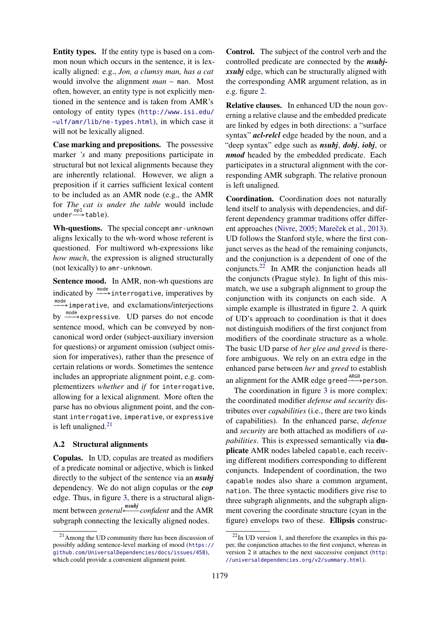Entity types. If the entity type is based on a common noun which occurs in the sentence, it is lexically aligned: e.g., *Jon, a clumsy man, has a cat* would involve the alignment *man* ∼ man. Most often, however, an entity type is not explicitly mentioned in the sentence and is taken from AMR's ontology of entity types (http://www.isi.edu/ ~ulf/amr/lib/ne-types.html), in which case it will not be lexically aligned.

Case marking and prepositions. The possessive marker *'s* and many prepositions participate in structural but not lexical alignments because they are inherently relational. However, we align a preposition if it carries sufficient lexical content to be included as an AMR node (e.g., the AMR for *The cat is under the table* would include under $\stackrel{\text{op1}}{\longrightarrow}$ table).

Wh-questions. The special concept amr-unknown aligns lexically to the wh-word whose referent is questioned. For multiword wh-expressions like *how much*, the expression is aligned structurally (not lexically) to amr-unknown.

Sentence mood. In AMR, non-wh questions are indicated by  $\frac{\text{mode}}{\text{mode}}$  interrogative, imperatives by mode<br>
The imperative, and exclamations/interjections by <sup>mode</sup> expressive. UD parses do not encode sentence mood, which can be conveyed by noncanonical word order (subject-auxiliary inversion for questions) or argument omission (subject omission for imperatives), rather than the presence of certain relations or words. Sometimes the sentence includes an appropriate alignment point, e.g. complementizers *whether* and *if* for interrogative, allowing for a lexical alignment. More often the parse has no obvious alignment point, and the constant interrogative, imperative, or expressive is left unaligned. $21$ 

## A.2 Structural alignments

Copulas. In UD, copulas are treated as modifiers of a predicate nominal or adjective, which is linked directly to the subject of the sentence via an *nsubj* dependency. We do not align copulas or the *cop* edge. Thus, in figure 3, there is a structural alignment between *general* ←bottle and the AMR subgraph connecting the lexically aligned nodes.

Control. The subject of the control verb and the controlled predicate are connected by the *nsubjxsubj* edge, which can be structurally aligned with the corresponding AMR argument relation, as in e.g. figure 2.

Relative clauses. In enhanced UD the noun governing a relative clause and the embedded predicate are linked by edges in both directions: a "surface syntax" *acl-relcl* edge headed by the noun, and a "deep syntax" edge such as *nsubj*, *dobj*, *iobj*, or *nmod* headed by the embedded predicate. Each participates in a structural alignment with the corresponding AMR subgraph. The relative pronoun is left unaligned.

Coordination. Coordination does not naturally lend itself to analysis with dependencies, and different dependency grammar traditions offer different approaches (Nivre, 2005; Mareček et al., 2013). UD follows the Stanford style, where the first conjunct serves as the head of the remaining conjuncts, and the conjunction is a dependent of one of the conjuncts.<sup>22</sup> In AMR the conjunction heads all the conjuncts (Prague style). In light of this mismatch, we use a subgraph alignment to group the conjunction with its conjuncts on each side. A simple example is illustrated in figure 2. A quirk of UD's approach to coordination is that it does not distinguish modifiers of the first conjunct from modifiers of the coordinate structure as a whole. The basic UD parse of *her glee and greed* is therefore ambiguous. We rely on an extra edge in the enhanced parse between *her* and *greed* to establish an alignment for the AMR edge greed $\xrightarrow{\text{ARG0}}$  person.

The coordination in figure 3 is more complex: the coordinated modifier *defense and security* distributes over *capabilities* (i.e., there are two kinds of capabilities). In the enhanced parse, *defense* and *security* are both attached as modifiers of *capabilities*. This is expressed semantically via duplicate AMR nodes labeled capable, each receiving different modifiers corresponding to different conjuncts. Independent of coordination, the two capable nodes also share a common argument, nation. The three syntactic modifiers give rise to three subgraph alignments, and the subgraph alignment covering the coordinate structure (cyan in the figure) envelops two of these. Ellipsis construc-

<sup>21</sup>Among the UD community there has been discussion of possibly adding sentence-level marking of mood (https:// github.com/UniversalDependencies/docs/issues/458), which could provide a convenient alignment point.

 $^{22}$ In UD version 1, and therefore the examples in this paper, the conjunction attaches to the first conjunct, whereas in version 2 it attaches to the next successive conjunct (http: //universaldependencies.org/v2/summary.html).